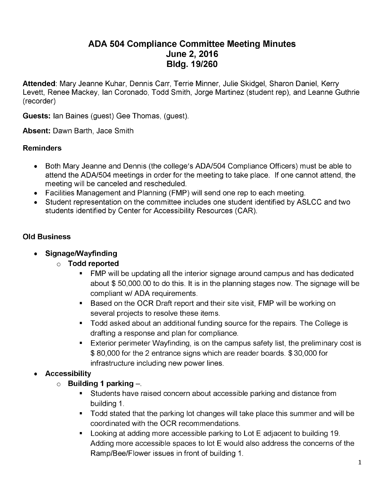# **ADA 504 Compliance Committee Meeting Minutes June 2, 2016 Bldg. 19/260**

**Attended**: Mary Jeanne Kuhar, Dennis Carr, Terrie Minner, Julie Skidgel, Sharon Daniel, Kerry Levett, Renee Mackey, Ian Coronado, Todd Smith, Jorge Martinez (student rep), and Leanne Guthrie (recorder)

**Guests:** Ian Baines (guest) Gee Thomas, (guest).

**Absent:** Dawn Barth, Jace Smith

#### **Reminders**

- Both Mary Jeanne and Dennis (the college's ADA/504 Compliance Officers) must be able to attend the ADA/504 meetings in order for the meeting to take place. If one cannot attend, the meeting will be canceled and rescheduled.
- Facilities Management and Planning (FMP) will send one rep to each meeting.
- Student representation on the committee includes one student identified by ASLCC and two students identified by Center for Accessibility Resources (CAR).

### **Old Business**

- **Signage/Wayfinding**
	- **Todd reported**
		- FMP will be updating all the interior signage around campus and has dedicated about \$ 50,000.00 to do this. It is in the planning stages now. The signage will be compliant w/ ADA requirements.
		- **Based on the OCR Draft report and their site visit, FMP will be working on** several projects to resolve these items.
		- **Todd asked about an additional funding source for the repairs. The College is** drafting a response and plan for compliance.
		- Exterior perimeter Wayfinding, is on the campus safety list, the preliminary cost is \$ 80,000 for the 2 entrance signs which are reader boards. \$ 30,000 for infrastructure including new power lines.

# **Accessibility**

- **Building <sup>1</sup> parking** -.
	- Students have raised concern about accessible parking and distance from  $\mathbf{E}^{(1)}$ building 1.
	- Todd stated that the parking lot changes will take place this summer and will be coordinated with the OCR recommendations.
	- Looking at adding more accessible parking to Lot E adjacent to building 19. Adding more accessible spaces to lot E would also address the concerns of the Ramp/Bee/Flower issues in front of building 1.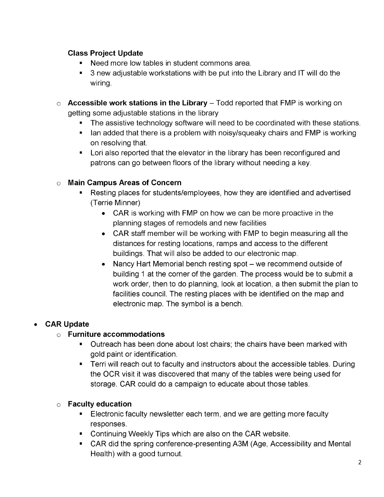# **Class Project Update**

- **Need more low tables in student commons area.**
- 3 new adjustable workstations with be put into the Library and IT will do the wiring.
- **Accessible work stations in the Library** Todd reported that FMP is working on getting some adjustable stations in the library
	- $\mathbf{r}$ The assistive technology software will need to be coordinated with these stations.
	- I lan added that there is a problem with noisy/squeaky chairs and FMP is working on resolving that.
	- **EXT** Lori also reported that the elevator in the library has been reconfigured and patrons can go between floors of the library without needing a key.

### **Main Campus Areas of Concern**

- Resting places for students/employees, how they are identified and advertised (Terrie Minner)
	- CAR is working with FMP on how we can be more proactive in the planning stages of remodels and new facilities
	- CAR staff member will be working with FMP to begin measuring all the distances for resting locations, ramps and access to the different buildings. That will also be added to our electronic map.
	- Nancy Hart Memorial bench resting spot we recommend outside of building <sup>1</sup> at the corner of the garden. The process would be to submit a work order, then to do planning, look at location, a then submit the plan to facilities council. The resting places with be identified on the map and electronic map. The symbol is a bench.

# **CAR Update**

### **Furniture accommodations**

- **Dutreach has been done about lost chairs; the chairs have been marked with** gold paint or identification.
- Terri will reach out to faculty and instructors about the accessible tables. During the OCR visit it was discovered that many of the tables were being used for storage. CAR could do a campaign to educate about those tables.

### **Faculty education**

- **Electronic faculty newsletter each term, and we are getting more faculty** responses.
- **Continuing Weekly Tips which are also on the CAR website.**
- CAR did the spring conference-presenting A3M (Age, Accessibility and Mental Health) with a good turnout.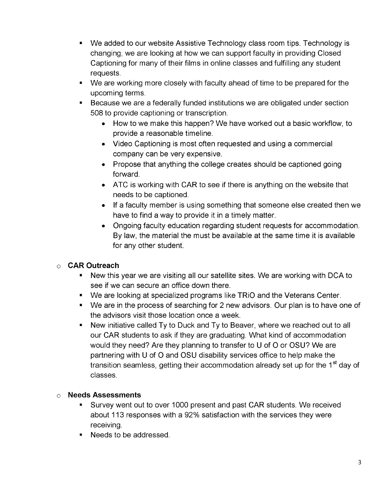- *We* added to our website Assistive Technology class room tips. Technology is  $\blacksquare$ changing, we are looking at how we can support faculty in providing Closed Captioning for many of their films in online classes and fulfilling any student requests.
- We are working more closely with faculty ahead of time to be prepared for the upcoming terms.
- Because we are a federally funded institutions we are obligated under section 508 to provide captioning or transcription.
	- How to we make this happen? We have worked out a basic workflow, to provide a reasonable timeline.
	- Video Captioning is most often requested and using a commercial company can be very expensive.
	- Propose that anything the college creates should be captioned going forward.
	- ATC is working with CAR to see if there is anything on the website that needs to be captioned.
	- If a faculty member is using something that someone else created then we have to find a way to provide it in a timely matter.
	- Ongoing faculty education regarding student requests for accommodation. By law, the material the must be available at the same time it is available for any other student.

# **CAR Outreach**

- New this year we are visiting all our satellite sites. We are working with DCA to see if we can secure an office down there.
- We are looking at specialized programs like TRiO and the Veterans Center.
- We are in the process of searching for 2 new advisors. Our plan is to have one of the advisors visit those location once a week.
- New initiative called Ty to Duck and Ty to Beaver, where we reached out to all our CAR students to ask if they are graduating. What kind of accommodation would they need? Are they planning to transfer to U of O or OSU? We are partnering with U of O and OSU disability services office to help make the transition seamless, getting their accommodation already set up for the 1<sup>st</sup> day of classes.

### **Needs Assessments**

- Survey went out to over 1000 present and past CAR students. We received about 113 responses with a 92% satisfaction with the services they were receiving.
- Needs to be addressed.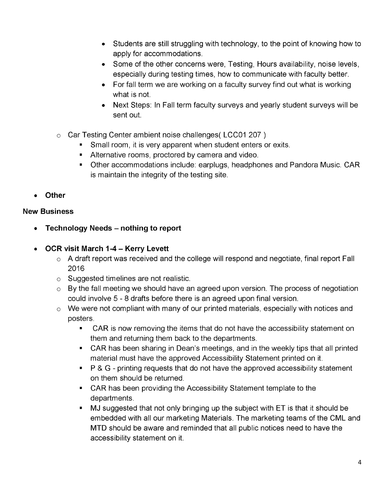- Students are still struggling with technology, to the point of knowing how to apply for accommodations.
- Some of the other concerns were, Testing, Hours availability, noise levels, especially during testing times, how to communicate with faculty better.
- For fall term we are working on a faculty survey find out what is working what is not.
- Next Steps: In Fall term faculty surveys and yearly student surveys will be sent out.
- $\circ$  Car Testing Center ambient noise challenges (LCC01 207)
	- Small room, it is very apparent when student enters or exits.
	- **Alternative rooms, proctored by camera and video.**
	- Other accommodations include: earplugs, headphones and Pandora Music. CAR is maintain the integrity of the testing site.
- **Other**

### **New Business**

- **Technology Needs - nothing to report**
- **OCR visit March 1-4 - Kerry Levett**
	- $\circ$  A draft report was received and the college will respond and negotiate, final report Fall 2016
	- $\circ$  Suggested timelines are not realistic.
	- $\circ$  By the fall meeting we should have an agreed upon version. The process of negotiation could involve 5 - 8 drafts before there is an agreed upon final version.
	- $\circ$  We were not compliant with many of our printed materials, especially with notices and posters.
		- CAR is now removing the items that do not have the accessibility statement on  $\blacksquare$ them and returning them back to the departments.
		- CAR has been sharing in Dean's meetings, and in the weekly tips that all printed material must have the approved Accessibility Statement printed on it.
		- P & G printing requests that do not have the approved accessibility statement on them should be returned.
		- CAR has been providing the Accessibility Statement template to the departments.
		- MJ suggested that not only bringing up the subject with ET is that it should be embedded with all our marketing Materials. The marketing teams of the CML and MTD should be aware and reminded that all public notices need to have the accessibility statement on it.